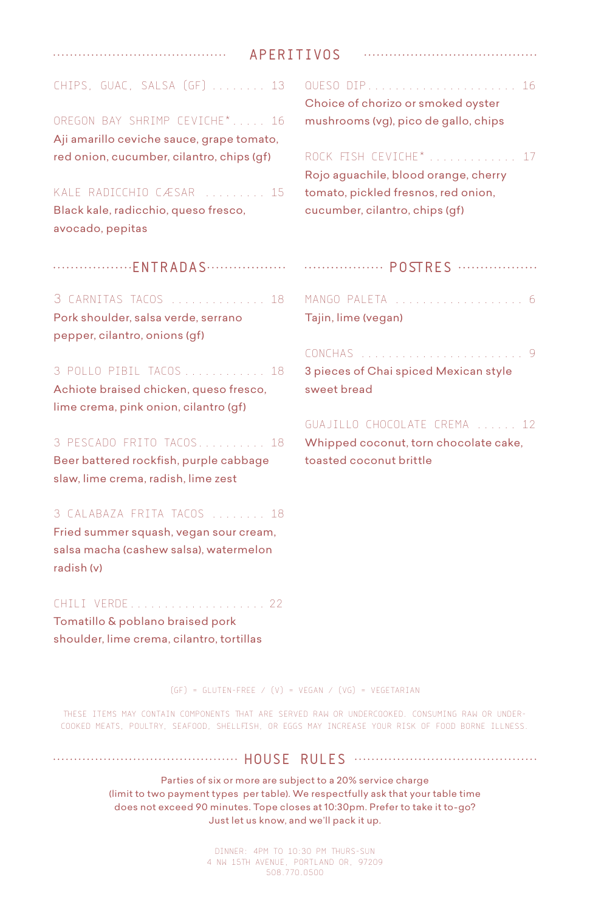| APERITIVOS |  |  |  |
|------------|--|--|--|
|------------|--|--|--|

| CHIPS, GUAC, SALSA (GF)  13 |  |  |  |  |  |
|-----------------------------|--|--|--|--|--|
|-----------------------------|--|--|--|--|--|

OREGON BAY SHRIMP CEVICHE\* ..... 16 Aji amarillo ceviche sauce, grape tomato, red onion, cucumber, cilantro, chips (gf)

## KALE RADICCHIO CÆSAR ......... 15

Black kale, radicchio, queso fresco, avocado, pepitas

..................FNTRADAS..................

#### 3 CARNITAS TACOS .............. 18

Pork shoulder, salsa verde, serrano pepper, cilantro, onions (gf)

3 POLLO PIBIL TACOS ............ 18

Achiote braised chicken, queso fresco, lime crema, pink onion, cilantro (gf)

## 3 PESCADO FRITO TACOS.......... 18

Beer battered rockfish, purple cabbage slaw, lime crema, radish, lime zest

#### 3 CALABAZA FRITA TACOS ........ 18

Fried summer squash, vegan sour cream, salsa macha (cashew salsa), watermelon radish (v)

#### CHILI VERDE.................... 22

Tomatillo & poblano braised pork shoulder, lime crema, cilantro, tortillas QUESO DIP...................... 16 Choice of chorizo or smoked oyster mushrooms (vg), pico de gallo, chips

# ROCK FISH CEVICHE\* ............. 17

Rojo aguachile, blood orange, cherry tomato, pickled fresnos, red onion, cucumber, cilantro, chips (gf)

# **POSTRES** ................

MANGO PALETA ................... 6 Tajin, lime (vegan)

CONCHAS ........................ 9 3 pieces of Chai spiced Mexican style sweet bread

#### GUAJILLO CHOCOLATE CREMA ...... 12

Whipped coconut, torn chocolate cake, toasted coconut brittle

(GF) = GLUTEN-FREE / (V) = VEGAN / (VG) = VEGETARIAN

THESE ITEMS MAY CONTAIN COMPONENTS THAT ARE SERVED RAW OR UNDERCOOKED. CONSUMING RAW OR UNDER-COOKED MEATS, POULTRY, SEAFOOD, SHELLFISH, OR EGGS MAY INCREASE YOUR RISK OF FOOD BORNE ILLNESS.

## **HOUSE RULES HOUSE RULES HOUSE RULES**

Parties of six or more are subject to a 20% service charge (limit to two payment types per table). We respectfully ask that your table time does not exceed 90 minutes. Tope closes at 10:30pm. Prefer to take it to-go? Just let us know, and we'll pack it up.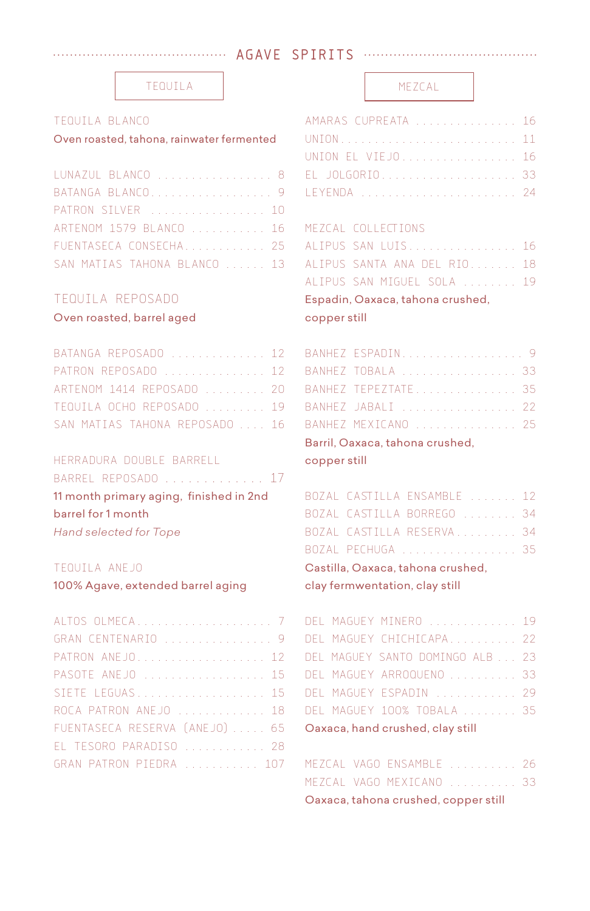## **AGAVE SPIRITS**

#### TEQUILA MEZCAL

## TEQUILA BLANCO

## Oven roasted, tahona, rainwater fermented

| LUNAZUL BLANCO  8            |  |
|------------------------------|--|
| BATANGA BLANCO 9             |  |
| PATRON SILVER  10            |  |
| ARTENOM 1579 BLANCO  16      |  |
| FUENTASECA CONSECHA 25       |  |
| SAN MATIAS TAHONA BLANCO  13 |  |

## TEQUILA REPOSADO

## Oven roasted, barrel aged

| BATANGA REPOSADO  12           |  |
|--------------------------------|--|
| PATRON REPOSADO  12            |  |
| ARTENOM 1414 REPOSADO  20      |  |
| TEQUILA OCHO REPOSADO  19      |  |
| SAN MATIAS TAHONA REPOSADO  16 |  |

## HERRADURA DOUBLE BARRELL

|                    | BARREL REPOSADO  17                     |  |  |
|--------------------|-----------------------------------------|--|--|
|                    | 11 month primary aging, finished in 2nd |  |  |
| barrel for 1 month |                                         |  |  |
|                    | Hand selected for Tope                  |  |  |

#### TEQUILA ANEJO

100% Agave, extended barrel aging clay fermwentation, clay still

| GRAN CENTENARIO  9             |
|--------------------------------|
| PATRON ANEJO 12                |
| PASOTE ANEJO  15               |
| SIETE LEGUAS 15                |
| ROCA PATRON ANEJO  18          |
| FUENTASECA RESERVA (ANEJO)  65 |
| EL TESORO PARADISO  28         |
| GRAN PATRON PIEDRA  107        |

| AMARAS CUPREATA  16 |  |  |  |  |  |  |  |
|---------------------|--|--|--|--|--|--|--|
| UNION 11            |  |  |  |  |  |  |  |
| UNION EL VIEJO 16   |  |  |  |  |  |  |  |
| EL JOLGORIO 33      |  |  |  |  |  |  |  |
| LEYENDA  24         |  |  |  |  |  |  |  |

#### MEZCAL COLLECTIONS

| copper still |                                  |  |
|--------------|----------------------------------|--|
|              | Espadin, Oaxaca, tahona crushed, |  |
|              | ALIPUS SAN MIGUEL SOLA  19       |  |
|              | ALIPUS SANTA ANA DEL RIO 18      |  |
|              | ALIPUS SAN LUIS 16               |  |

| BANHEZ ESPADIN 9                                                                                                |  |
|-----------------------------------------------------------------------------------------------------------------|--|
| BANHEZ TOBALA  33                                                                                               |  |
| BANHEZ TEPEZTATE 35                                                                                             |  |
| BANHEZ JABALI  22                                                                                               |  |
| BANHEZ MEXICANO  25                                                                                             |  |
| Barril, Oaxaca, tahona crushed,                                                                                 |  |
| the contract of the contract of the contract of the contract of the contract of the contract of the contract of |  |

#### copper still

|  | BOZAL CASTILLA ENSAMBLE  12       |  |
|--|-----------------------------------|--|
|  | BOZAL CASTILLA BORREGO  34        |  |
|  | BOZAL CASTILLA RESERVA 34         |  |
|  | BOZAL PECHUGA  35                 |  |
|  | Castilla, Oaxaca, tahona crushed, |  |
|  |                                   |  |

|  | DEL MAGUEY MINERO  19            |  |
|--|----------------------------------|--|
|  | DEL MAGUEY CHICHICAPA 22         |  |
|  | DEL MAGUEY SANTO DOMINGO ALB  23 |  |
|  | DEL MAGUEY ARROQUENO  33         |  |
|  | DEL MAGUEY ESPADIN  29           |  |
|  | DEL MAGUEY 100% TOBALA  35       |  |
|  | Oaxaca, hand crushed, clay still |  |

|  | Oaxaca, tahona crushed, copper still |                          |  |
|--|--------------------------------------|--------------------------|--|
|  |                                      | MEZCAL VAGO MEXICANO  33 |  |
|  |                                      | MEZCAL VAGO ENSAMBLE  26 |  |